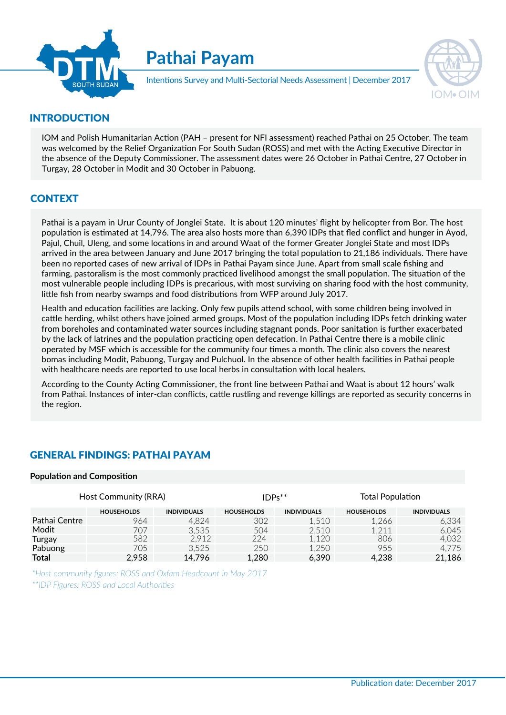

Pathai Payam



Intentions Survey and Multi-Sectorial Needs Assessment | December 2017

# INTRODUCTION

IOM and Polish Humanitarian Action (PAH - present for NFI assessment) reached Pathai on 25 October. The team was welcomed by the Relief Organization For South Sudan (ROSS) and met with the Acting Executive Director in the absence of the Deputy Commissioner. The assessment dates were 26 October in Pathai Centre, 27 October in Turgay, 28 October in Modit and 30 October in Pabuong.

# **CONTEXT**

Pathai is a payam in Urur County of Jonglei State. It is about 120 minutes' flight by helicopter from Bor. The host population is estimated at 14,796. The area also hosts more than 6,390 IDPs that fled conflict and hunger in Ayod, Pajul, Chuil, Uleng, and some locations in and around Waat of the former Greater Jonglei State and most IDPs arrived in the area between January and June 2017 bringing the total population to 21,186 individuals. There have been no reported cases of new arrival of IDPs in Pathai Payam since June. Apart from small scale fishing and farming, pastoralism is the most commonly practiced livelihood amongst the small population. The situation of the most vulnerable people including IDPs is precarious, with most surviving on sharing food with the host community, little fish from nearby swamps and food distributions from WFP around July 2017.

Health and education facilities are lacking. Only few pupils attend school, with some children being involved in cattle herding, whilst others have joined armed groups. Most of the population including IDPs fetch drinking water from boreholes and contaminated water sources including stagnant ponds. Poor sanitation is further exacerbated by the lack of latrines and the population practicing open defecation. In Pathai Centre there is a mobile clinic operated by MSF which is accessible for the community four times a month. The clinic also covers the nearest bomas including Modit, Pabuong, Turgay and Pulchuol. In the absence of other health facilities in Pathai people with healthcare needs are reported to use local herbs in consultation with local healers. Frame children being involved in<br>
cluding IDPs fetch drinking water<br>
anitation is further exacerbated<br>
there is a mobile clinic<br>
clinic also covers the nearest<br>
alth facilities in Pathai people<br>
alers.<br>
Waat is about 12 ho

According to the County Acting Commissioner, the front line between Pathai and Waat is about 12 hours' walk from Pathai. Instances of inter-clan conflicts, cattle rustling and revenge killings are reported as security concerns in the region.

# GENERAL FINDINGS: PATHAI PAYAM

#### Population and Composition

| Host Community (RRA) |                   |                    | $IDPs***$         |                    | <b>Total Population</b> |                    |
|----------------------|-------------------|--------------------|-------------------|--------------------|-------------------------|--------------------|
|                      | <b>HOUSEHOLDS</b> | <b>INDIVIDUALS</b> | <b>HOUSEHOLDS</b> | <b>INDIVIDUALS</b> | <b>HOUSEHOLDS</b>       | <b>INDIVIDUALS</b> |
| Pathai Centre        | 964               | 4.824              | 302               | .510               | 1,266                   | 6,334              |
| Modit                | 707               | 3.535              | 504               | 2.510              | 1.211                   | 6.045              |
| Turgay               | 582               | 2.912              | 224               | .120               | 806                     | 4,032              |
| Pabuong              | 705               | 3.525              | 250               | .250               | 955                     | 4.775              |
| <b>Total</b>         | 2,958             | 14,796             | 1,280             | 6,390              | 4,238                   | 21,186             |

\*Host community figures: ROSS and Oxfam Headcount in May 2017 \*\*IDP Figures: ROSS and Local Authorities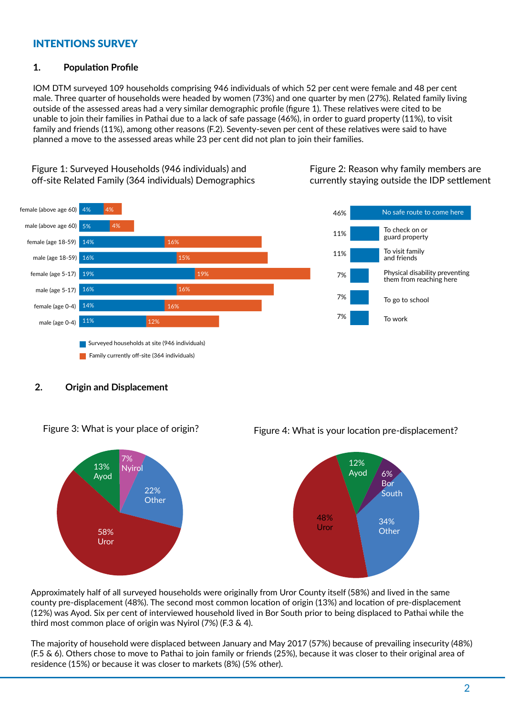# INTENTIONS SURVEY

### 1. Population Profile

IOM DTM surveyed 109 households comprising 946 individuals of which 52 per cent were female and 48 per cent male. Three quarter of households were headed by women (73%) and one quarter by men (27%). Related family living outside of the assessed areas had a very similar demographic profile (figure 1). These relatives were cited to be unable to join their families in Pathai due to a lack of safe passage (46%), in order to guard property (11%), to visit family and friends (11%), among other reasons (F.2). Seventy-seven per cent of these relatives were said to have planned a move to the assessed areas while 23 per cent did not plan to join their families.

Figure 1: Surveyed Households (946 individuals) and off-site Related Family (364 individuals) Demographics





## 2. Origin and Displacement



# Figure 3: What is your place of origin? Figure 4: What is your location pre-displacement?



Approximately half of all surveyed households were originally from Uror County itself (58%) and lived in the same county pre-displacement (48%). The second most common location of origin (13%) and location of pre-displacement (12%) was Ayod. Six per cent of interviewed household lived in Bor South prior to being displaced to Pathai while the third most common place of origin was Nyirol (7%) (F.3 & 4).

 residence (15%) or because it was closer to markets (8%) (5% other). The majority of household were displaced between January and May 2017 (57%) because of prevailing insecurity (48%) (F.5 & 6). Others chose to move to Pathai to join family or friends (25%), because it was closer to their original area of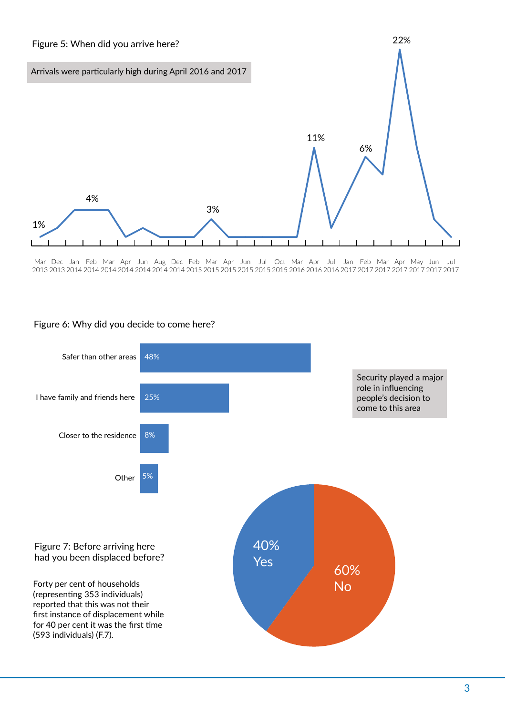

Mar Dec Jan Feb Mar Apr Jun Aug Dec Feb Mar Apr Jun Jul Oct Mar Apr Jul Jan Feb Mar Apr May Jun Jul 2017 2017 2017 2017 2017 2017 2017 2016 2016 2016 2015 2015 2015 2015 2015 2015 2014 2014 2014 2014 2014 2014 2014 2013 2013



# Figure 6: Why did you decide to come here?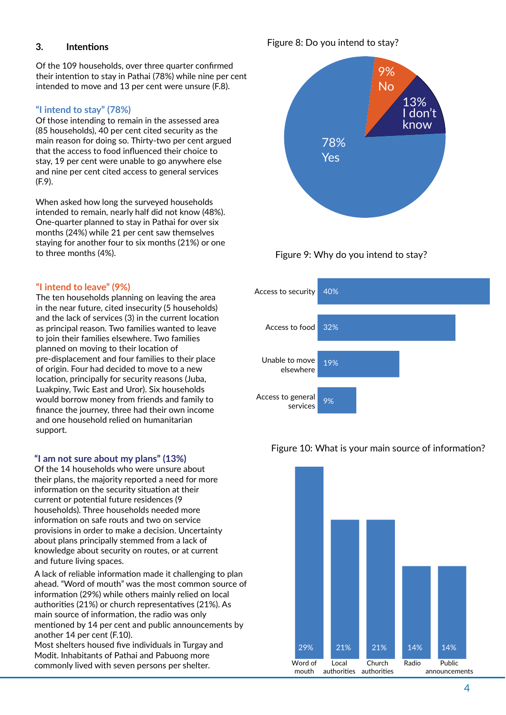# 3. Intentions

Of the 109 households, over three quarter confirmed their intention to stay in Pathai (78%) while nine per cent intended to move and 13 per cent were unsure (F.8).

# "I intend to stay" (78%)

Of those intending to remain in the assessed area (85 households), 40 per cent cited security as the main reason for doing so. Thirty-two per cent argued that the access to food influenced their choice to stay, 19 per cent were unable to go anywhere else and nine per cent cited access to general services (F.9).

When asked how long the surveyed households intended to remain, nearly half did not know (48%). One-quarter planned to stay in Pathai for over six months (24%) while 21 per cent saw themselves staying for another four to six months (21%) or one to three months (4%).

### "I intend to leave" (9%)

The ten households planning on leaving the area in the near future, cited insecurity (5 households) and the lack of services (3) in the current location as principal reason. Two families wanted to leave to join their families elsewhere. Two families planned on moving to their location of pre-displacement and four families to their place of origin. Four had decided to move to a new location, principally for security reasons (Juba, Luakpiny, Twic East and Uror). Six households would borrow money from friends and family to finance the journey, three had their own income and one household relied on humanitarian support.

#### "I am not sure about my plans" (13%)

Of the 14 households who were unsure about their plans, the majority reported a need for more information on the security situation at their current or potential future residences (9 households). Three households needed more information on safe routs and two on service provisions in order to make a decision. Uncertainty about plans principally stemmed from a lack of knowledge about security on routes, or at current and future living spaces.

A lack of reliable information made it challenging to plan ahead. "Word of mouth" was the most common source of information (29%) while others mainly relied on local authorities (21%) or church representatives (21%). As main source of information, the radio was only mentioned by 14 per cent and public announcements by another 14 per cent (F.10). Most shelters housed five individuals in Turgay and Modit. Inhabitants of Pathai and Pabuong more commonly lived with seven persons per shelter.

# Figure 8: Do you intend to stay?









#### Figure 10: What is your main source of information?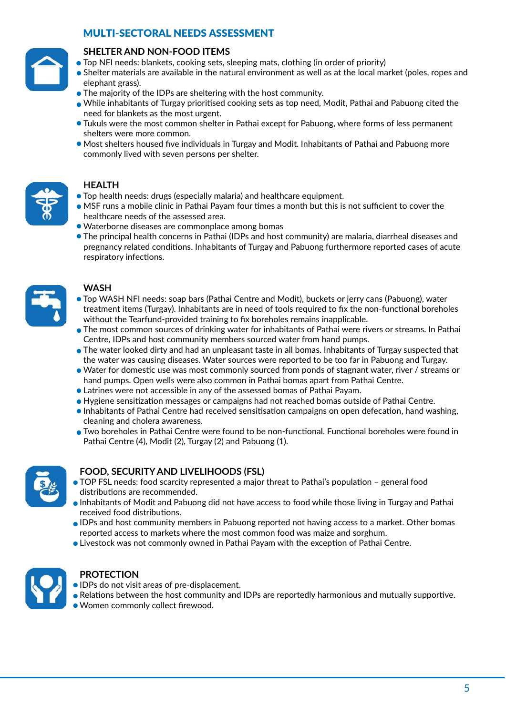# MULTI-SECTORAL NEEDS ASSESSMENT



## SHELTER AND NON-FOOD ITEMS

- Top NFI needs: blankets, cooking sets, sleeping mats, clothing (in order of priority) ҋ
- Shelter materials are available in the natural environment as well as at the local market (poles, ropes and ҋ elephant grass).
- $\bullet$  The majority of the IDPs are sheltering with the host community.
- $\bullet$  While inhabitants of Turgay prioritised cooking sets as top need, Modit, Pathai and Pabuong cited the need for blankets as the most urgent.
- $\bullet$  Tukuls were the most common shelter in Pathai except for Pabuong, where forms of less permanent shelters were more common.
- Most shelters housed five individuals in Turgay and Modit. Inhabitants of Pathai and Pabuong more ҋ commonly lived with seven persons per shelter.



### HEALTH

- Top health needs: drugs (especially malaria) and healthcare equipment. ҋ
- $\bullet$  MSF runs a mobile clinic in Pathai Payam four times a month but this is not sufficient to cover the healthcare needs of the assessed area.
- Waterborne diseases are commonplace among bomas ҋ
- The principal health concerns in Pathai (IDPs and host community) are malaria, diarrheal diseases and ҋ pregnancy related condiঞons. Inhabitants of Turgay and Pabuong furthermore reported cases of acute respiratory infections.



# **WASH**

- Top WASH NFI needs: soap bars (Pathai Centre and Modit), buckets or jerry cans (Pabuong), water ҋ treatment items (Turgay). Inhabitants are in need of tools required to fix the non-functional boreholes without the Tearfund-provided training to fix boreholes remains inapplicable.
- The most common sources of drinking water for inhabitants of Pathai were rivers or streams. In Pathai ҋ Centre, IDPs and host community members sourced water from hand pumps.
- $\bullet$  The water looked dirty and had an unpleasant taste in all bomas. Inhabitants of Turgay suspected that the water was causing diseases. Water sources were reported to be too far in Pabuong and Turgay.
- $\bullet$  Water for domestic use was most commonly sourced from ponds of stagnant water, river / streams or hand pumps. Open wells were also common in Pathai bomas apart from Pathai Centre.
- Latrines were not accessible in any of the assessed bomas of Pathai Payam. ҋ
- $\bullet$  Hygiene sensitization messages or campaigns had not reached bomas outside of Pathai Centre.
- $\bullet$  Inhabitants of Pathai Centre had received sensitisation campaigns on open defecation, hand washing, cleaning and cholera awareness.
- $\bullet$  Two boreholes in Pathai Centre were found to be non-functional. Functional boreholes were found in Pathai Centre (4), Modit (2), Turgay (2) and Pabuong (1).



# FOOD, SECURITY AND LIVELIHOODS (FSL)

- $\bullet$  TOP FSL needs: food scarcity represented a major threat to Pathai's population general food distributions are recommended.
- $\bullet$  Inhabitants of Modit and Pabuong did not have access to food while those living in Turgay and Pathai received food distributions.
- IDPs and host community members in Pabuong reported not having access to a market. Other bomas ҋ reported access to markets where the most common food was maize and sorghum.
- $\bullet$  Livestock was not commonly owned in Pathai Payam with the exception of Pathai Centre.



# **PROTECTION**

- $\bullet$  IDPs do not visit areas of pre-displacement.
- $\bullet$  Relations between the host community and IDPs are reportedly harmonious and mutually supportive.
- Women commonly collect firewood. ҋ